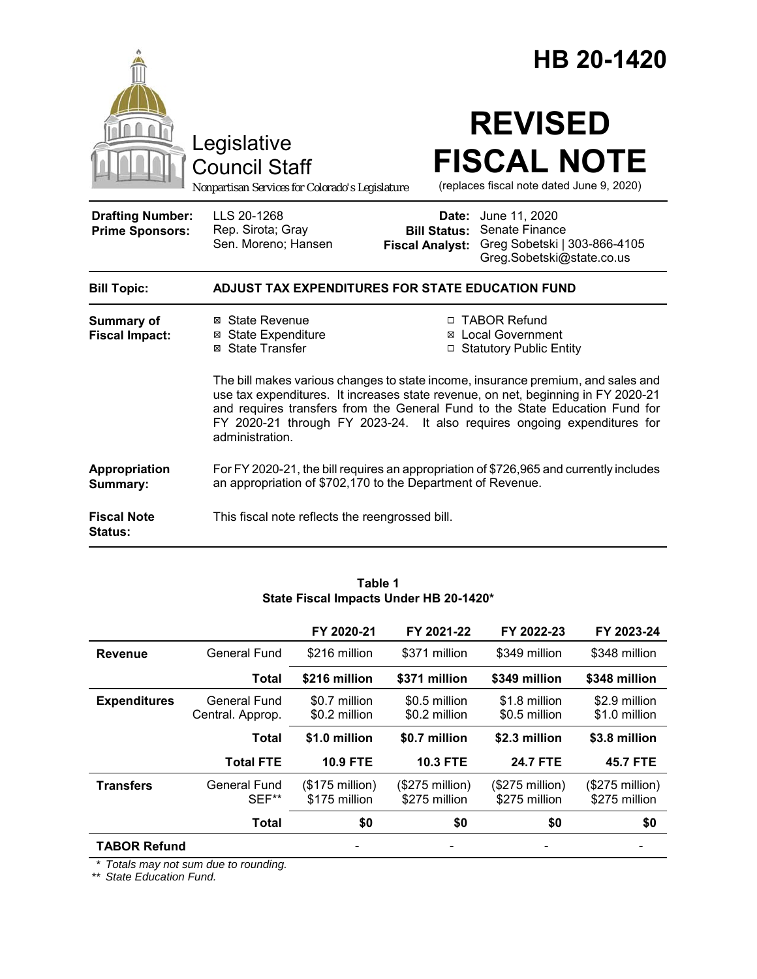|                                                   |                                                                                                                                                                                                                                                                                                                                                                                                                                                                                                                         |                                                        | HB 20-1420                                                                                   |
|---------------------------------------------------|-------------------------------------------------------------------------------------------------------------------------------------------------------------------------------------------------------------------------------------------------------------------------------------------------------------------------------------------------------------------------------------------------------------------------------------------------------------------------------------------------------------------------|--------------------------------------------------------|----------------------------------------------------------------------------------------------|
|                                                   | Legislative<br><b>Council Staff</b><br>Nonpartisan Services for Colorado's Legislature                                                                                                                                                                                                                                                                                                                                                                                                                                  |                                                        | <b>REVISED</b><br><b>FISCAL NOTE</b><br>(replaces fiscal note dated June 9, 2020)            |
| <b>Drafting Number:</b><br><b>Prime Sponsors:</b> | LLS 20-1268<br>Rep. Sirota; Gray<br>Sen. Moreno; Hansen                                                                                                                                                                                                                                                                                                                                                                                                                                                                 | Date:<br><b>Bill Status:</b><br><b>Fiscal Analyst:</b> | June 11, 2020<br>Senate Finance<br>Greg Sobetski   303-866-4105<br>Greg.Sobetski@state.co.us |
| <b>Bill Topic:</b>                                | ADJUST TAX EXPENDITURES FOR STATE EDUCATION FUND                                                                                                                                                                                                                                                                                                                                                                                                                                                                        |                                                        |                                                                                              |
| <b>Summary of</b><br><b>Fiscal Impact:</b>        | □ TABOR Refund<br>⊠ State Revenue<br><b>⊠ State Expenditure</b><br><b>Local Government</b><br>⊠<br>⊠ State Transfer<br><b>Statutory Public Entity</b><br>$\Box$<br>The bill makes various changes to state income, insurance premium, and sales and<br>use tax expenditures. It increases state revenue, on net, beginning in FY 2020-21<br>and requires transfers from the General Fund to the State Education Fund for<br>FY 2020-21 through FY 2023-24. It also requires ongoing expenditures for<br>administration. |                                                        |                                                                                              |
| Appropriation<br>Summary:                         | an appropriation of \$702,170 to the Department of Revenue.                                                                                                                                                                                                                                                                                                                                                                                                                                                             |                                                        | For FY 2020-21, the bill requires an appropriation of \$726,965 and currently includes       |
| <b>Fiscal Note</b><br><b>Status:</b>              | This fiscal note reflects the reengrossed bill.                                                                                                                                                                                                                                                                                                                                                                                                                                                                         |                                                        |                                                                                              |

|                     |                                  | FY 2020-21                        | FY 2021-22                        | FY 2022-23                        | FY 2023-24                        |
|---------------------|----------------------------------|-----------------------------------|-----------------------------------|-----------------------------------|-----------------------------------|
| <b>Revenue</b>      | <b>General Fund</b>              | \$216 million                     | \$371 million                     | \$349 million                     | \$348 million                     |
|                     | <b>Total</b>                     | \$216 million                     | \$371 million                     | \$349 million                     | \$348 million                     |
| <b>Expenditures</b> | General Fund<br>Central. Approp. | \$0.7 million<br>\$0.2 million    | \$0.5 million<br>\$0.2 million    | \$1.8 million<br>\$0.5 million    | \$2.9 million<br>\$1.0 million    |
|                     | <b>Total</b>                     | \$1.0 million                     | \$0.7 million                     | \$2.3 million                     | \$3.8 million                     |
|                     | <b>Total FTE</b>                 | <b>10.9 FTE</b>                   | <b>10.3 FTE</b>                   | <b>24.7 FTE</b>                   | <b>45.7 FTE</b>                   |
| <b>Transfers</b>    | General Fund<br>SEF**            | $($175$ million)<br>\$175 million | $($275$ million)<br>\$275 million | $($275$ million)<br>\$275 million | $($275$ million)<br>\$275 million |
|                     | <b>Total</b>                     | \$0                               | \$0                               | \$0                               | \$0                               |
| <b>TABOR Refund</b> |                                  |                                   |                                   |                                   |                                   |

**Table 1 State Fiscal Impacts Under HB 20-1420\***

*\* Totals may not sum due to rounding.*

*\*\* State Education Fund.*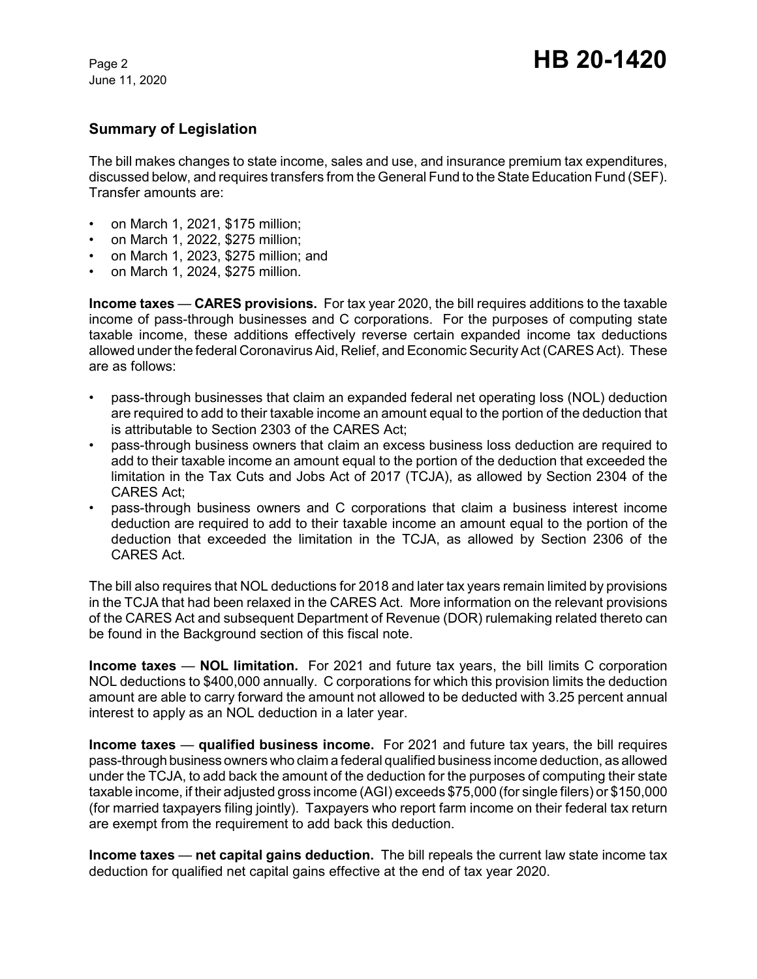# **Summary of Legislation**

The bill makes changes to state income, sales and use, and insurance premium tax expenditures, discussed below, and requires transfers from the General Fund to the State Education Fund (SEF). Transfer amounts are:

- on March 1, 2021, \$175 million;
- on March 1, 2022, \$275 million;
- on March 1, 2023, \$275 million; and
- on March 1, 2024, \$275 million.

**Income taxes** — **CARES provisions.** For tax year 2020, the bill requires additions to the taxable income of pass-through businesses and C corporations. For the purposes of computing state taxable income, these additions effectively reverse certain expanded income tax deductions allowed under the federal Coronavirus Aid, Relief, and Economic Security Act (CARES Act). These are as follows:

- pass-through businesses that claim an expanded federal net operating loss (NOL) deduction are required to add to their taxable income an amount equal to the portion of the deduction that is attributable to Section 2303 of the CARES Act;
- pass-through business owners that claim an excess business loss deduction are required to add to their taxable income an amount equal to the portion of the deduction that exceeded the limitation in the Tax Cuts and Jobs Act of 2017 (TCJA), as allowed by Section 2304 of the CARES Act;
- pass-through business owners and C corporations that claim a business interest income deduction are required to add to their taxable income an amount equal to the portion of the deduction that exceeded the limitation in the TCJA, as allowed by Section 2306 of the CARES Act.

The bill also requires that NOL deductions for 2018 and later tax years remain limited by provisions in the TCJA that had been relaxed in the CARES Act. More information on the relevant provisions of the CARES Act and subsequent Department of Revenue (DOR) rulemaking related thereto can be found in the Background section of this fiscal note.

**Income taxes** — **NOL limitation.** For 2021 and future tax years, the bill limits C corporation NOL deductions to \$400,000 annually. C corporations for which this provision limits the deduction amount are able to carry forward the amount not allowed to be deducted with 3.25 percent annual interest to apply as an NOL deduction in a later year.

**Income taxes** — **qualified business income.** For 2021 and future tax years, the bill requires pass-through business owners who claim a federal qualified business income deduction, as allowed under the TCJA, to add back the amount of the deduction for the purposes of computing their state taxable income, if their adjusted gross income (AGI) exceeds \$75,000 (for single filers) or \$150,000 (for married taxpayers filing jointly). Taxpayers who report farm income on their federal tax return are exempt from the requirement to add back this deduction.

**Income taxes** — **net capital gains deduction.** The bill repeals the current law state income tax deduction for qualified net capital gains effective at the end of tax year 2020.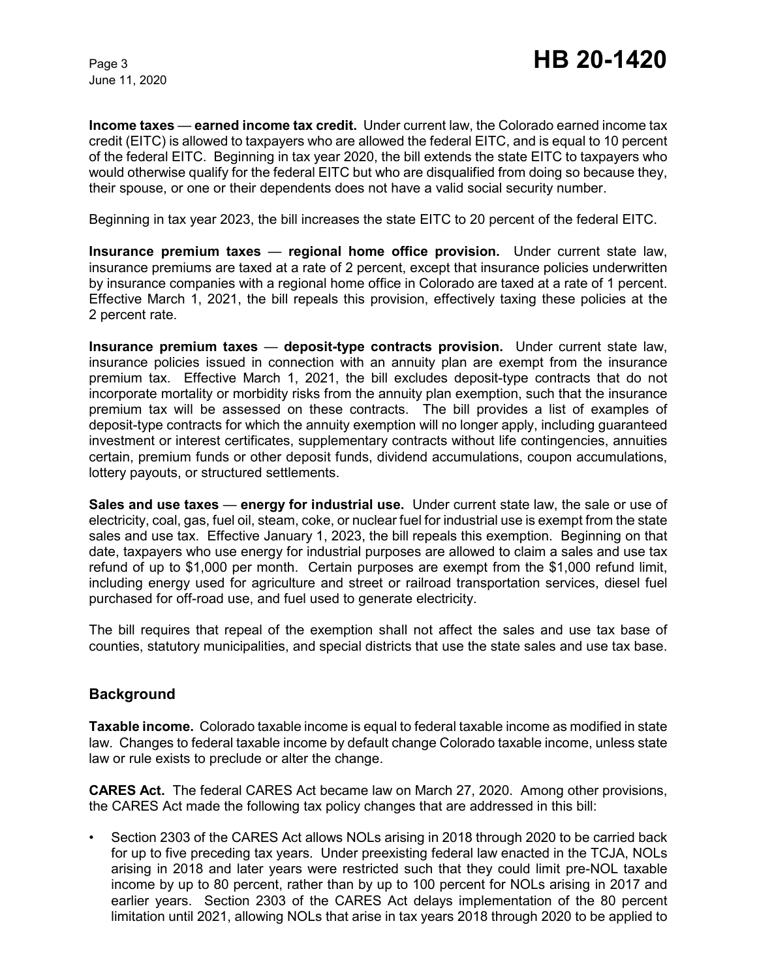**Income taxes** — **earned income tax credit.** Under current law, the Colorado earned income tax credit (EITC) is allowed to taxpayers who are allowed the federal EITC, and is equal to 10 percent of the federal EITC. Beginning in tax year 2020, the bill extends the state EITC to taxpayers who would otherwise qualify for the federal EITC but who are disqualified from doing so because they, their spouse, or one or their dependents does not have a valid social security number.

Beginning in tax year 2023, the bill increases the state EITC to 20 percent of the federal EITC.

**Insurance premium taxes** — **regional home office provision.** Under current state law, insurance premiums are taxed at a rate of 2 percent, except that insurance policies underwritten by insurance companies with a regional home office in Colorado are taxed at a rate of 1 percent. Effective March 1, 2021, the bill repeals this provision, effectively taxing these policies at the 2 percent rate.

**Insurance premium taxes** — **deposit-type contracts provision.** Under current state law, insurance policies issued in connection with an annuity plan are exempt from the insurance premium tax. Effective March 1, 2021, the bill excludes deposit-type contracts that do not incorporate mortality or morbidity risks from the annuity plan exemption, such that the insurance premium tax will be assessed on these contracts. The bill provides a list of examples of deposit-type contracts for which the annuity exemption will no longer apply, including guaranteed investment or interest certificates, supplementary contracts without life contingencies, annuities certain, premium funds or other deposit funds, dividend accumulations, coupon accumulations, lottery payouts, or structured settlements.

**Sales and use taxes** — **energy for industrial use.** Under current state law, the sale or use of electricity, coal, gas, fuel oil, steam, coke, or nuclear fuel for industrial use is exempt from the state sales and use tax. Effective January 1, 2023, the bill repeals this exemption. Beginning on that date, taxpayers who use energy for industrial purposes are allowed to claim a sales and use tax refund of up to \$1,000 per month. Certain purposes are exempt from the \$1,000 refund limit, including energy used for agriculture and street or railroad transportation services, diesel fuel purchased for off-road use, and fuel used to generate electricity.

The bill requires that repeal of the exemption shall not affect the sales and use tax base of counties, statutory municipalities, and special districts that use the state sales and use tax base.

# **Background**

**Taxable income.** Colorado taxable income is equal to federal taxable income as modified in state law. Changes to federal taxable income by default change Colorado taxable income, unless state law or rule exists to preclude or alter the change.

**CARES Act.** The federal CARES Act became law on March 27, 2020. Among other provisions, the CARES Act made the following tax policy changes that are addressed in this bill:

• Section 2303 of the CARES Act allows NOLs arising in 2018 through 2020 to be carried back for up to five preceding tax years. Under preexisting federal law enacted in the TCJA, NOLs arising in 2018 and later years were restricted such that they could limit pre-NOL taxable income by up to 80 percent, rather than by up to 100 percent for NOLs arising in 2017 and earlier years. Section 2303 of the CARES Act delays implementation of the 80 percent limitation until 2021, allowing NOLs that arise in tax years 2018 through 2020 to be applied to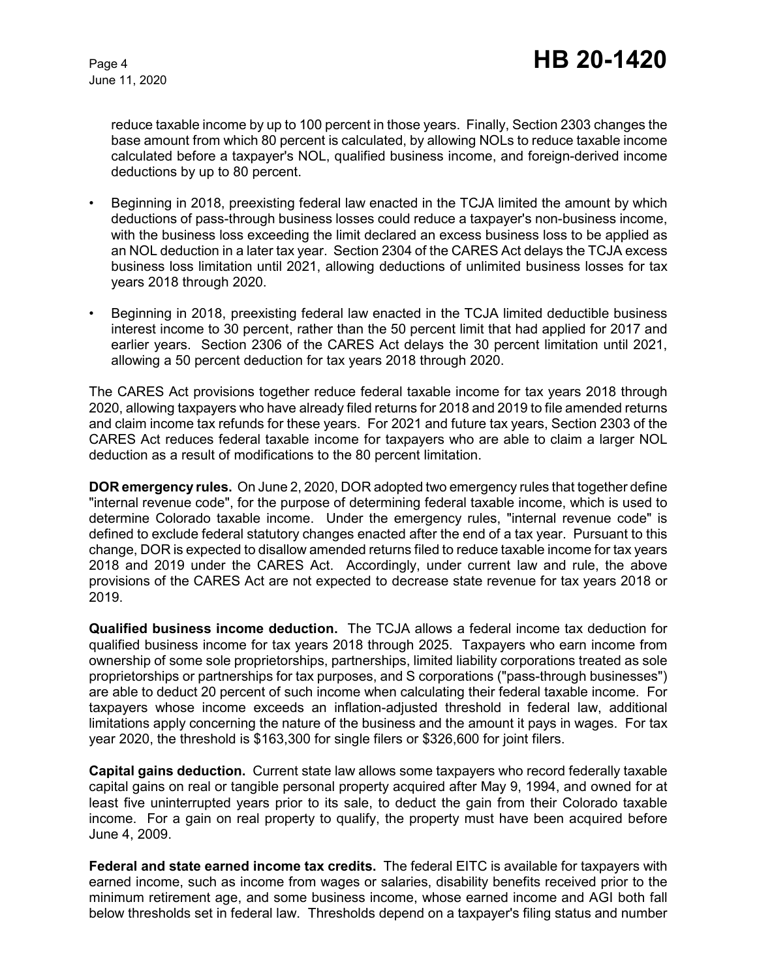reduce taxable income by up to 100 percent in those years. Finally, Section 2303 changes the base amount from which 80 percent is calculated, by allowing NOLs to reduce taxable income calculated before a taxpayer's NOL, qualified business income, and foreign-derived income deductions by up to 80 percent.

- Beginning in 2018, preexisting federal law enacted in the TCJA limited the amount by which deductions of pass-through business losses could reduce a taxpayer's non-business income, with the business loss exceeding the limit declared an excess business loss to be applied as an NOL deduction in a later tax year. Section 2304 of the CARES Act delays the TCJA excess business loss limitation until 2021, allowing deductions of unlimited business losses for tax years 2018 through 2020.
- Beginning in 2018, preexisting federal law enacted in the TCJA limited deductible business interest income to 30 percent, rather than the 50 percent limit that had applied for 2017 and earlier years. Section 2306 of the CARES Act delays the 30 percent limitation until 2021, allowing a 50 percent deduction for tax years 2018 through 2020.

The CARES Act provisions together reduce federal taxable income for tax years 2018 through 2020, allowing taxpayers who have already filed returns for 2018 and 2019 to file amended returns and claim income tax refunds for these years. For 2021 and future tax years, Section 2303 of the CARES Act reduces federal taxable income for taxpayers who are able to claim a larger NOL deduction as a result of modifications to the 80 percent limitation.

**DOR emergency rules.** On June 2, 2020, DOR adopted two emergency rules that together define "internal revenue code", for the purpose of determining federal taxable income, which is used to determine Colorado taxable income. Under the emergency rules, "internal revenue code" is defined to exclude federal statutory changes enacted after the end of a tax year. Pursuant to this change, DOR is expected to disallow amended returns filed to reduce taxable income for tax years 2018 and 2019 under the CARES Act. Accordingly, under current law and rule, the above provisions of the CARES Act are not expected to decrease state revenue for tax years 2018 or 2019.

**Qualified business income deduction.** The TCJA allows a federal income tax deduction for qualified business income for tax years 2018 through 2025. Taxpayers who earn income from ownership of some sole proprietorships, partnerships, limited liability corporations treated as sole proprietorships or partnerships for tax purposes, and S corporations ("pass-through businesses") are able to deduct 20 percent of such income when calculating their federal taxable income. For taxpayers whose income exceeds an inflation-adjusted threshold in federal law, additional limitations apply concerning the nature of the business and the amount it pays in wages. For tax year 2020, the threshold is \$163,300 for single filers or \$326,600 for joint filers.

**Capital gains deduction.** Current state law allows some taxpayers who record federally taxable capital gains on real or tangible personal property acquired after May 9, 1994, and owned for at least five uninterrupted years prior to its sale, to deduct the gain from their Colorado taxable income. For a gain on real property to qualify, the property must have been acquired before June 4, 2009.

**Federal and state earned income tax credits.** The federal EITC is available for taxpayers with earned income, such as income from wages or salaries, disability benefits received prior to the minimum retirement age, and some business income, whose earned income and AGI both fall below thresholds set in federal law. Thresholds depend on a taxpayer's filing status and number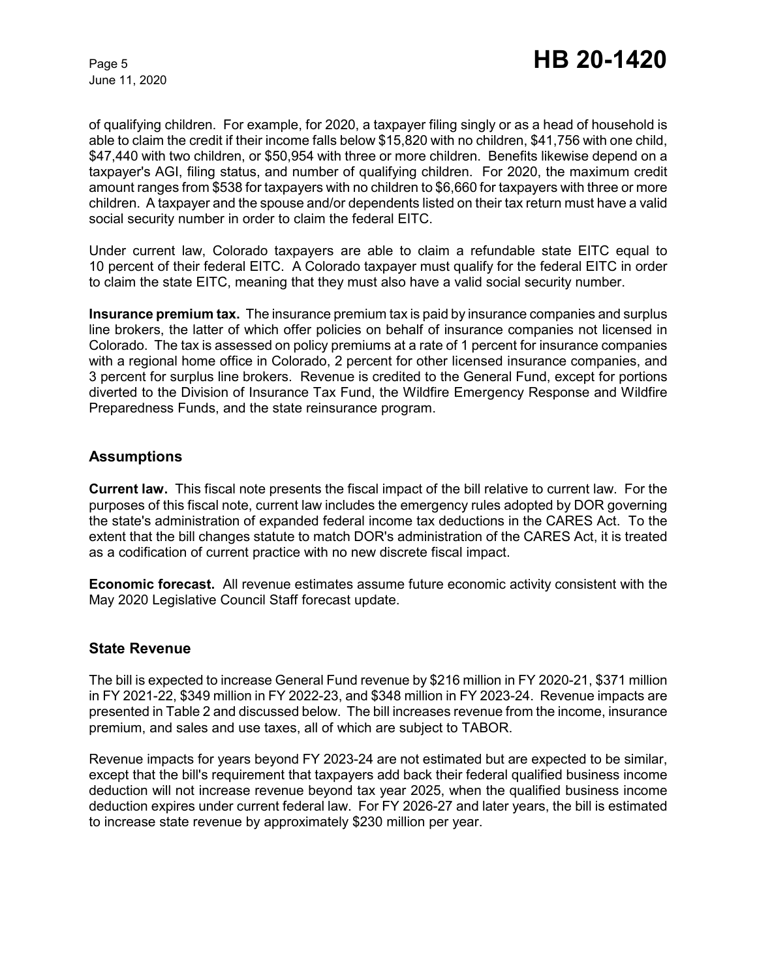of qualifying children. For example, for 2020, a taxpayer filing singly or as a head of household is able to claim the credit if their income falls below \$15,820 with no children, \$41,756 with one child, \$47,440 with two children, or \$50,954 with three or more children. Benefits likewise depend on a taxpayer's AGI, filing status, and number of qualifying children. For 2020, the maximum credit amount ranges from \$538 for taxpayers with no children to \$6,660 for taxpayers with three or more children. A taxpayer and the spouse and/or dependents listed on their tax return must have a valid social security number in order to claim the federal EITC.

Under current law, Colorado taxpayers are able to claim a refundable state EITC equal to 10 percent of their federal EITC. A Colorado taxpayer must qualify for the federal EITC in order to claim the state EITC, meaning that they must also have a valid social security number.

**Insurance premium tax.** The insurance premium tax is paid by insurance companies and surplus line brokers, the latter of which offer policies on behalf of insurance companies not licensed in Colorado. The tax is assessed on policy premiums at a rate of 1 percent for insurance companies with a regional home office in Colorado, 2 percent for other licensed insurance companies, and 3 percent for surplus line brokers. Revenue is credited to the General Fund, except for portions diverted to the Division of Insurance Tax Fund, the Wildfire Emergency Response and Wildfire Preparedness Funds, and the state reinsurance program.

## **Assumptions**

**Current law.** This fiscal note presents the fiscal impact of the bill relative to current law. For the purposes of this fiscal note, current law includes the emergency rules adopted by DOR governing the state's administration of expanded federal income tax deductions in the CARES Act. To the extent that the bill changes statute to match DOR's administration of the CARES Act, it is treated as a codification of current practice with no new discrete fiscal impact.

**Economic forecast.** All revenue estimates assume future economic activity consistent with the May 2020 Legislative Council Staff forecast update.

## **State Revenue**

The bill is expected to increase General Fund revenue by \$216 million in FY 2020-21, \$371 million in FY 2021-22, \$349 million in FY 2022-23, and \$348 million in FY 2023-24. Revenue impacts are presented in Table 2 and discussed below. The bill increases revenue from the income, insurance premium, and sales and use taxes, all of which are subject to TABOR.

Revenue impacts for years beyond FY 2023-24 are not estimated but are expected to be similar, except that the bill's requirement that taxpayers add back their federal qualified business income deduction will not increase revenue beyond tax year 2025, when the qualified business income deduction expires under current federal law. For FY 2026-27 and later years, the bill is estimated to increase state revenue by approximately \$230 million per year.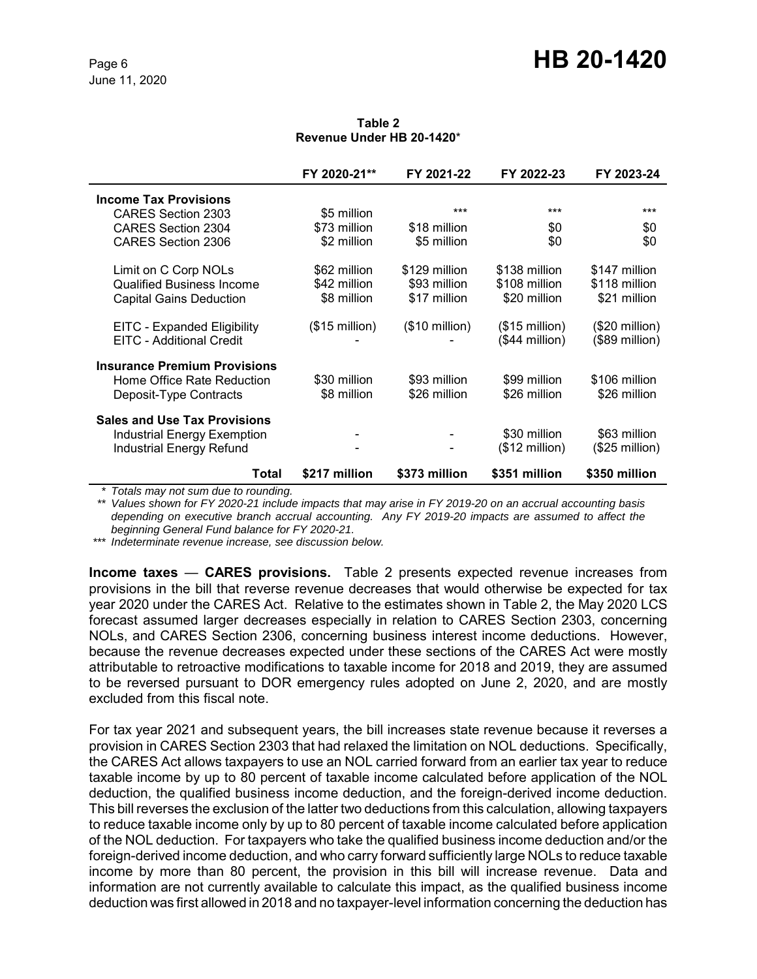#### **Table 2 Revenue Under HB 20-1420**\*

|                                     | FY 2020-21**            | FY 2021-22              | FY 2022-23              | FY 2023-24      |
|-------------------------------------|-------------------------|-------------------------|-------------------------|-----------------|
| <b>Income Tax Provisions</b>        |                         |                         |                         |                 |
| CARES Section 2303                  | \$5 million             | ***                     | ***                     | ***             |
| <b>CARES Section 2304</b>           | \$73 million            | \$18 million            | \$0                     | \$0             |
| CARES Section 2306                  | \$2 million             | \$5 million             | \$0                     | \$0             |
| Limit on C Corp NOLs                | \$62 million            | \$129 million           | \$138 million           | \$147 million   |
| <b>Qualified Business Income</b>    | \$42 million            | \$93 million            | \$108 million           | \$118 million   |
| <b>Capital Gains Deduction</b>      | \$8 million             | \$17 million            | \$20 million            | \$21 million    |
| EITC - Expanded Eligibility         | $($15 \text{ million})$ | $($10 \text{ million})$ | $($15 \text{ million})$ | $($20$ million) |
| EITC - Additional Credit            |                         |                         | (\$44 million)          | $($89$ million) |
| <b>Insurance Premium Provisions</b> |                         |                         |                         |                 |
| Home Office Rate Reduction          | \$30 million            | \$93 million            | \$99 million            | \$106 million   |
| Deposit-Type Contracts              | \$8 million             | \$26 million            | \$26 million            | \$26 million    |
| <b>Sales and Use Tax Provisions</b> |                         |                         |                         |                 |
| <b>Industrial Energy Exemption</b>  |                         |                         | \$30 million            | \$63 million    |
| <b>Industrial Energy Refund</b>     |                         |                         | $($12 \text{ million})$ | $($25$ million) |
| Total                               | \$217 million           | \$373 million           | \$351 million           | \$350 million   |

*\* Totals may not sum due to rounding.*

*\*\* Values shown for FY 2020-21 include impacts that may arise in FY 2019-20 on an accrual accounting basis depending on executive branch accrual accounting. Any FY 2019-20 impacts are assumed to affect the beginning General Fund balance for FY 2020-21.*

*\*\*\* Indeterminate revenue increase, see discussion below.*

**Income taxes** — **CARES provisions.** Table 2 presents expected revenue increases from provisions in the bill that reverse revenue decreases that would otherwise be expected for tax year 2020 under the CARES Act. Relative to the estimates shown in Table 2, the May 2020 LCS forecast assumed larger decreases especially in relation to CARES Section 2303, concerning NOLs, and CARES Section 2306, concerning business interest income deductions. However, because the revenue decreases expected under these sections of the CARES Act were mostly attributable to retroactive modifications to taxable income for 2018 and 2019, they are assumed to be reversed pursuant to DOR emergency rules adopted on June 2, 2020, and are mostly excluded from this fiscal note.

For tax year 2021 and subsequent years, the bill increases state revenue because it reverses a provision in CARES Section 2303 that had relaxed the limitation on NOL deductions. Specifically, the CARES Act allows taxpayers to use an NOL carried forward from an earlier tax year to reduce taxable income by up to 80 percent of taxable income calculated before application of the NOL deduction, the qualified business income deduction, and the foreign-derived income deduction. This bill reverses the exclusion of the latter two deductions from this calculation, allowing taxpayers to reduce taxable income only by up to 80 percent of taxable income calculated before application of the NOL deduction. For taxpayers who take the qualified business income deduction and/or the foreign-derived income deduction, and who carry forward sufficiently large NOLs to reduce taxable income by more than 80 percent, the provision in this bill will increase revenue. Data and information are not currently available to calculate this impact, as the qualified business income deduction was first allowed in 2018 and no taxpayer-level information concerning the deduction has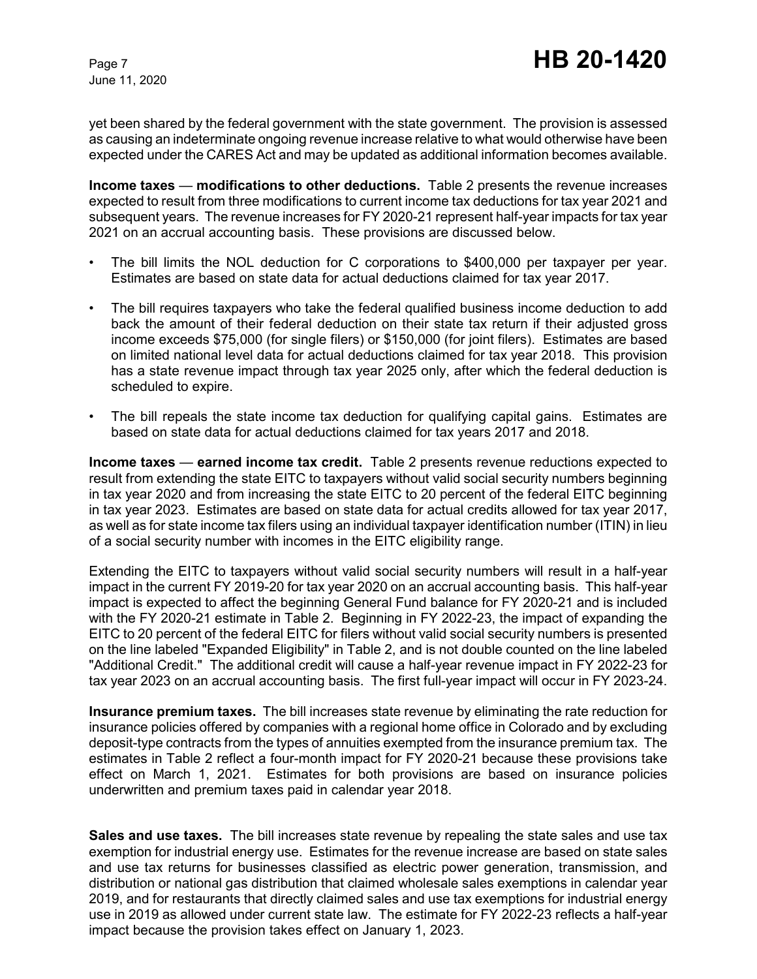yet been shared by the federal government with the state government. The provision is assessed as causing an indeterminate ongoing revenue increase relative to what would otherwise have been expected under the CARES Act and may be updated as additional information becomes available.

**Income taxes** — **modifications to other deductions.** Table 2 presents the revenue increases expected to result from three modifications to current income tax deductions for tax year 2021 and subsequent years. The revenue increases for FY 2020-21 represent half-year impacts for tax year 2021 on an accrual accounting basis. These provisions are discussed below.

- The bill limits the NOL deduction for C corporations to \$400,000 per taxpayer per year. Estimates are based on state data for actual deductions claimed for tax year 2017.
- The bill requires taxpayers who take the federal qualified business income deduction to add back the amount of their federal deduction on their state tax return if their adjusted gross income exceeds \$75,000 (for single filers) or \$150,000 (for joint filers). Estimates are based on limited national level data for actual deductions claimed for tax year 2018. This provision has a state revenue impact through tax year 2025 only, after which the federal deduction is scheduled to expire.
- The bill repeals the state income tax deduction for qualifying capital gains. Estimates are based on state data for actual deductions claimed for tax years 2017 and 2018.

**Income taxes** — **earned income tax credit.** Table 2 presents revenue reductions expected to result from extending the state EITC to taxpayers without valid social security numbers beginning in tax year 2020 and from increasing the state EITC to 20 percent of the federal EITC beginning in tax year 2023. Estimates are based on state data for actual credits allowed for tax year 2017, as well as for state income tax filers using an individual taxpayer identification number (ITIN) in lieu of a social security number with incomes in the EITC eligibility range.

Extending the EITC to taxpayers without valid social security numbers will result in a half-year impact in the current FY 2019-20 for tax year 2020 on an accrual accounting basis. This half-year impact is expected to affect the beginning General Fund balance for FY 2020-21 and is included with the FY 2020-21 estimate in Table 2. Beginning in FY 2022-23, the impact of expanding the EITC to 20 percent of the federal EITC for filers without valid social security numbers is presented on the line labeled "Expanded Eligibility" in Table 2, and is not double counted on the line labeled "Additional Credit." The additional credit will cause a half-year revenue impact in FY 2022-23 for tax year 2023 on an accrual accounting basis. The first full-year impact will occur in FY 2023-24.

**Insurance premium taxes.** The bill increases state revenue by eliminating the rate reduction for insurance policies offered by companies with a regional home office in Colorado and by excluding deposit-type contracts from the types of annuities exempted from the insurance premium tax. The estimates in Table 2 reflect a four-month impact for FY 2020-21 because these provisions take effect on March 1, 2021. Estimates for both provisions are based on insurance policies underwritten and premium taxes paid in calendar year 2018.

**Sales and use taxes.** The bill increases state revenue by repealing the state sales and use tax exemption for industrial energy use. Estimates for the revenue increase are based on state sales and use tax returns for businesses classified as electric power generation, transmission, and distribution or national gas distribution that claimed wholesale sales exemptions in calendar year 2019, and for restaurants that directly claimed sales and use tax exemptions for industrial energy use in 2019 as allowed under current state law. The estimate for FY 2022-23 reflects a half-year impact because the provision takes effect on January 1, 2023.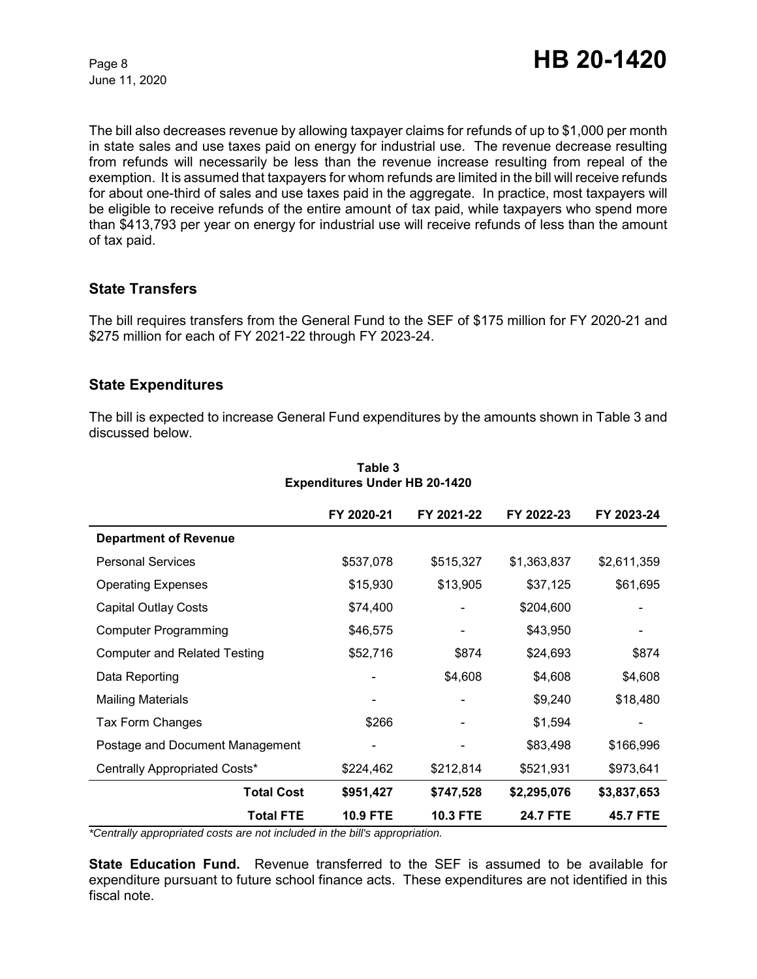The bill also decreases revenue by allowing taxpayer claims for refunds of up to \$1,000 per month in state sales and use taxes paid on energy for industrial use. The revenue decrease resulting from refunds will necessarily be less than the revenue increase resulting from repeal of the exemption. It is assumed that taxpayers for whom refunds are limited in the bill will receive refunds for about one-third of sales and use taxes paid in the aggregate. In practice, most taxpayers will be eligible to receive refunds of the entire amount of tax paid, while taxpayers who spend more than \$413,793 per year on energy for industrial use will receive refunds of less than the amount of tax paid.

## **State Transfers**

The bill requires transfers from the General Fund to the SEF of \$175 million for FY 2020-21 and \$275 million for each of FY 2021-22 through FY 2023-24.

## **State Expenditures**

The bill is expected to increase General Fund expenditures by the amounts shown in Table 3 and discussed below.

|                                     | FY 2020-21      | FY 2021-22      | FY 2022-23      | FY 2023-24      |
|-------------------------------------|-----------------|-----------------|-----------------|-----------------|
| <b>Department of Revenue</b>        |                 |                 |                 |                 |
| <b>Personal Services</b>            | \$537,078       | \$515,327       | \$1,363,837     | \$2,611,359     |
| <b>Operating Expenses</b>           | \$15,930        | \$13,905        | \$37,125        | \$61,695        |
| <b>Capital Outlay Costs</b>         | \$74,400        |                 | \$204,600       |                 |
| <b>Computer Programming</b>         | \$46,575        |                 | \$43,950        |                 |
| <b>Computer and Related Testing</b> | \$52,716        | \$874           | \$24,693        | \$874           |
| Data Reporting                      |                 | \$4,608         | \$4,608         | \$4,608         |
| <b>Mailing Materials</b>            |                 |                 | \$9,240         | \$18,480        |
| Tax Form Changes                    | \$266           |                 | \$1,594         |                 |
| Postage and Document Management     |                 |                 | \$83,498        | \$166,996       |
| Centrally Appropriated Costs*       | \$224,462       | \$212,814       | \$521,931       | \$973,641       |
| <b>Total Cost</b>                   | \$951,427       | \$747,528       | \$2,295,076     | \$3,837,653     |
| <b>Total FTE</b>                    | <b>10.9 FTE</b> | <b>10.3 FTE</b> | <b>24.7 FTE</b> | <b>45.7 FTE</b> |

#### **Table 3 Expenditures Under HB 20-1420**

*\*Centrally appropriated costs are not included in the bill's appropriation.*

**State Education Fund.** Revenue transferred to the SEF is assumed to be available for expenditure pursuant to future school finance acts. These expenditures are not identified in this fiscal note.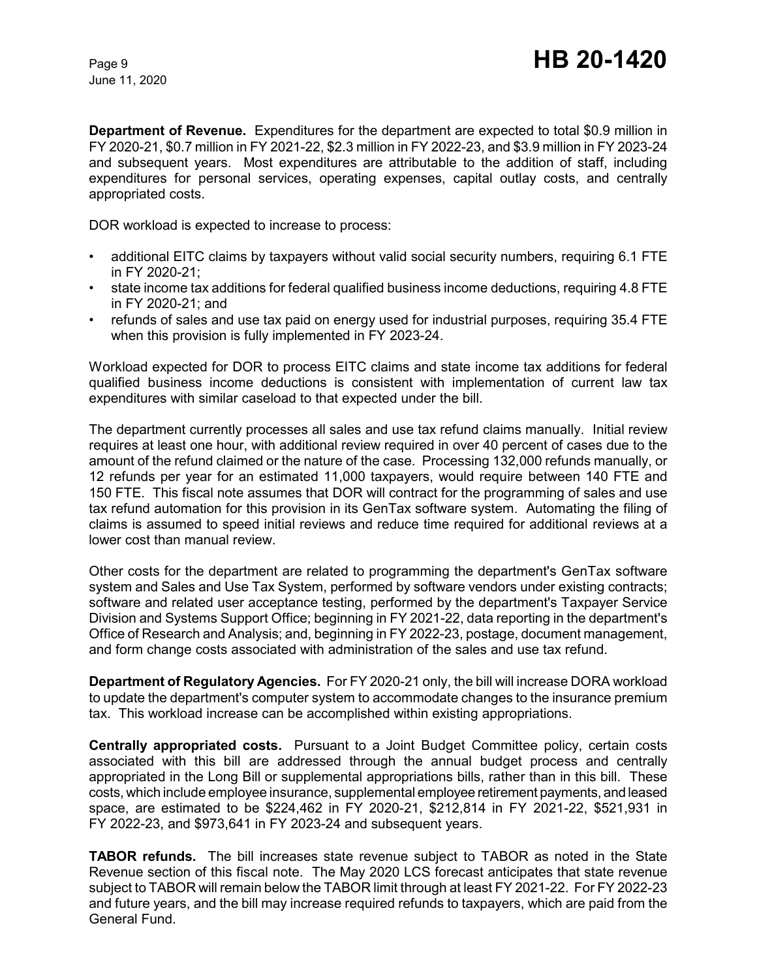**Department of Revenue.** Expenditures for the department are expected to total \$0.9 million in FY 2020-21, \$0.7 million in FY 2021-22, \$2.3 million in FY 2022-23, and \$3.9 million in FY 2023-24 and subsequent years. Most expenditures are attributable to the addition of staff, including expenditures for personal services, operating expenses, capital outlay costs, and centrally appropriated costs.

DOR workload is expected to increase to process:

- additional EITC claims by taxpayers without valid social security numbers, requiring 6.1 FTE in FY 2020-21;
- state income tax additions for federal qualified business income deductions, requiring 4.8 FTE in FY 2020-21; and
- refunds of sales and use tax paid on energy used for industrial purposes, requiring 35.4 FTE when this provision is fully implemented in FY 2023-24.

Workload expected for DOR to process EITC claims and state income tax additions for federal qualified business income deductions is consistent with implementation of current law tax expenditures with similar caseload to that expected under the bill.

The department currently processes all sales and use tax refund claims manually. Initial review requires at least one hour, with additional review required in over 40 percent of cases due to the amount of the refund claimed or the nature of the case. Processing 132,000 refunds manually, or 12 refunds per year for an estimated 11,000 taxpayers, would require between 140 FTE and 150 FTE. This fiscal note assumes that DOR will contract for the programming of sales and use tax refund automation for this provision in its GenTax software system. Automating the filing of claims is assumed to speed initial reviews and reduce time required for additional reviews at a lower cost than manual review.

Other costs for the department are related to programming the department's GenTax software system and Sales and Use Tax System, performed by software vendors under existing contracts; software and related user acceptance testing, performed by the department's Taxpayer Service Division and Systems Support Office; beginning in FY 2021-22, data reporting in the department's Office of Research and Analysis; and, beginning in FY 2022-23, postage, document management, and form change costs associated with administration of the sales and use tax refund.

**Department of Regulatory Agencies.** For FY 2020-21 only, the bill will increase DORA workload to update the department's computer system to accommodate changes to the insurance premium tax. This workload increase can be accomplished within existing appropriations.

**Centrally appropriated costs.** Pursuant to a Joint Budget Committee policy, certain costs associated with this bill are addressed through the annual budget process and centrally appropriated in the Long Bill or supplemental appropriations bills, rather than in this bill. These costs, which include employee insurance, supplemental employee retirement payments, and leased space, are estimated to be \$224,462 in FY 2020-21, \$212,814 in FY 2021-22, \$521,931 in FY 2022-23, and \$973,641 in FY 2023-24 and subsequent years.

**TABOR refunds.** The bill increases state revenue subject to TABOR as noted in the State Revenue section of this fiscal note. The May 2020 LCS forecast anticipates that state revenue subject to TABOR will remain below the TABOR limit through at least FY 2021-22. For FY 2022-23 and future years, and the bill may increase required refunds to taxpayers, which are paid from the General Fund.